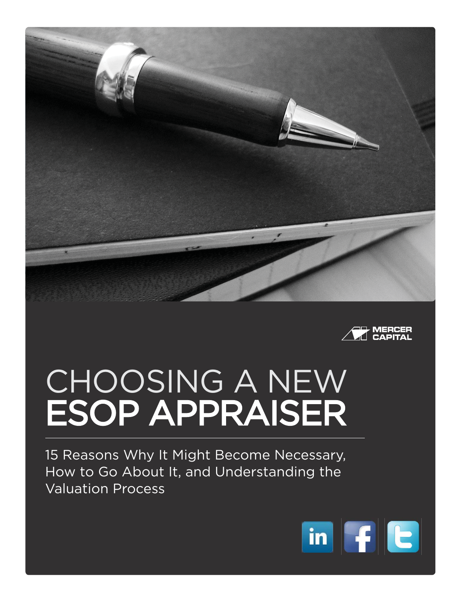



# CHOOSING A NEW **ESOP APPRAISER**

15 Reasons Why It Might Become Necessary, How to Go About It, and Understanding the Valuation Process

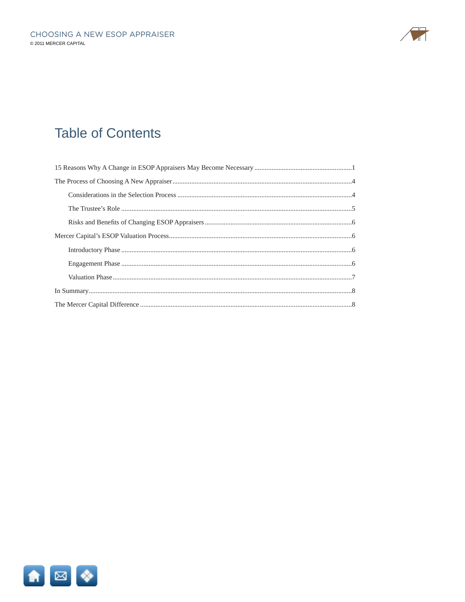

## **Table of Contents**

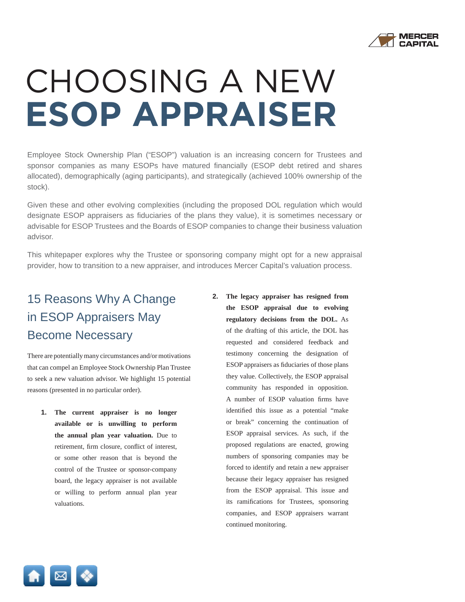

# CHOOSING A NEW **ESOP APPRAISER**

Employee Stock Ownership Plan ("ESOP") valuation is an increasing concern for Trustees and sponsor companies as many ESOPs have matured financially (ESOP debt retired and shares allocated), demographically (aging participants), and strategically (achieved 100% ownership of the stock).

Given these and other evolving complexities (including the proposed DOL regulation which would designate ESOP appraisers as fiduciaries of the plans they value), it is sometimes necessary or advisable for ESOP Trustees and the Boards of ESOP companies to change their business valuation advisor.

This whitepaper explores why the Trustee or sponsoring company might opt for a new appraisal provider, how to transition to a new appraiser, and introduces Mercer Capital's valuation process.

### 15 Reasons Why A Change in ESOP Appraisers May Become Necessary

There are potentially many circumstances and/or motivations that can compel an Employee Stock Ownership Plan Trustee to seek a new valuation advisor. We highlight 15 potential reasons (presented in no particular order).

- **1. The current appraiser is no longer available or is unwilling to perform the annual plan year valuation.** Due to retirement, firm closure, conflict of interest, or some other reason that is beyond the control of the Trustee or sponsor-company board, the legacy appraiser is not available or willing to perform annual plan year valuations.
- **2. The legacy appraiser has resigned from the ESOP appraisal due to evolving regulatory decisions from the DOL.** As of the drafting of this article, the DOL has requested and considered feedback and testimony concerning the designation of ESOP appraisers as fiduciaries of those plans they value. Collectively, the ESOP appraisal community has responded in opposition. A number of ESOP valuation firms have identified this issue as a potential "make or break" concerning the continuation of ESOP appraisal services. As such, if the proposed regulations are enacted, growing numbers of sponsoring companies may be forced to identify and retain a new appraiser because their legacy appraiser has resigned from the ESOP appraisal. This issue and its ramifications for Trustees, sponsoring companies, and ESOP appraisers warrant continued monitoring.

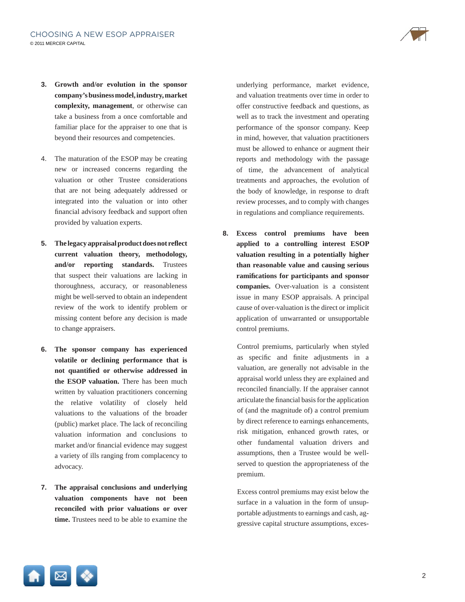

- **3. Growth and/or evolution in the sponsor company's business model, industry, market complexity, management**, or otherwise can take a business from a once comfortable and familiar place for the appraiser to one that is beyond their resources and competencies.
- 4. The maturation of the ESOP may be creating new or increased concerns regarding the valuation or other Trustee considerations that are not being adequately addressed or integrated into the valuation or into other financial advisory feedback and support often provided by valuation experts.
- **5.** The legacy appraisal product does not reflect **current valuation theory, methodology, and/or reporting standards.** Trustees that suspect their valuations are lacking in thoroughness, accuracy, or reasonableness might be well-served to obtain an independent review of the work to identify problem or missing content before any decision is made to change appraisers.
- **6. The sponsor company has experienced volatile or declining performance that is**  not quantified or otherwise addressed in **the ESOP valuation.** There has been much written by valuation practitioners concerning the relative volatility of closely held valuations to the valuations of the broader (public) market place. The lack of reconciling valuation information and conclusions to market and/or financial evidence may suggest a variety of ills ranging from complacency to advocacy.
- **7. The appraisal conclusions and underlying valuation components have not been reconciled with prior valuations or over time.** Trustees need to be able to examine the

underlying performance, market evidence, and valuation treatments over time in order to offer constructive feedback and questions, as well as to track the investment and operating performance of the sponsor company. Keep in mind, however, that valuation practitioners must be allowed to enhance or augment their reports and methodology with the passage of time, the advancement of analytical treatments and approaches, the evolution of the body of knowledge, in response to draft review processes, and to comply with changes in regulations and compliance requirements.

**8. Excess control premiums have been applied to a controlling interest ESOP valuation resulting in a potentially higher than reasonable value and causing serious ramifi cations for participants and sponsor companies.** Over-valuation is a consistent issue in many ESOP appraisals. A principal cause of over-valuation is the direct or implicit application of unwarranted or unsupportable control premiums.

Control premiums, particularly when styled as specific and finite adjustments in a valuation, are generally not advisable in the appraisal world unless they are explained and reconciled financially. If the appraiser cannot articulate the financial basis for the application of (and the magnitude of) a control premium by direct reference to earnings enhancements, risk mitigation, enhanced growth rates, or other fundamental valuation drivers and assumptions, then a Trustee would be wellserved to question the appropriateness of the premium.

Excess control premiums may exist below the surface in a valuation in the form of unsupportable adjustments to earnings and cash, aggressive capital structure assumptions, exces-

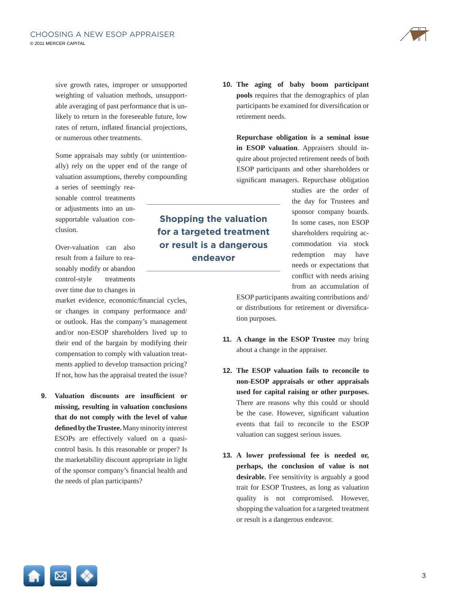sive growth rates, improper or unsupported weighting of valuation methods, unsupportable averaging of past performance that is unlikely to return in the foreseeable future, low rates of return, inflated financial projections, or numerous other treatments.

Some appraisals may subtly (or unintentionally) rely on the upper end of the range of valuation assumptions, thereby compounding

a series of seemingly reasonable control treatments or adjustments into an unsupportable valuation conclusion.

Over-valuation can also result from a failure to reasonably modify or abandon control-style treatments over time due to changes in

market evidence, economic/financial cycles, or changes in company performance and/ or outlook. Has the company's management and/or non-ESOP shareholders lived up to their end of the bargain by modifying their compensation to comply with valuation treatments applied to develop transaction pricing? If not, how has the appraisal treated the issue?

**9.** Valuation discounts are insufficient or **missing, resulting in valuation conclusions that do not comply with the level of value**  defined by the Trustee. Many minority interest ESOPs are effectively valued on a quasicontrol basis. Is this reasonable or proper? Is the marketability discount appropriate in light of the sponsor company's financial health and the needs of plan participants?

**10. The aging of baby boom participant pools** requires that the demographics of plan participants be examined for diversification or retirement needs.

**Repurchase obligation is a seminal issue in ESOP valuation**. Appraisers should inquire about projected retirement needs of both ESOP participants and other shareholders or significant managers. Repurchase obligation

> studies are the order of the day for Trustees and sponsor company boards. In some cases, non ESOP shareholders requiring accommodation via stock redemption may have needs or expectations that conflict with needs arising from an accumulation of

ESOP participants awaiting contributions and/ or distributions for retirement or diversification purposes.

- **11. A change in the ESOP Trustee** may bring about a change in the appraiser.
- **12. The ESOP valuation fails to reconcile to non-ESOP appraisals or other appraisals used for capital raising or other purposes.** There are reasons why this could or should be the case. However, significant valuation events that fail to reconcile to the ESOP valuation can suggest serious issues.
- **13. A lower professional fee is needed or, perhaps, the conclusion of value is not desirable.** Fee sensitivity is arguably a good trait for ESOP Trustees, as long as valuation quality is not compromised. However, shopping the valuation for a targeted treatment or result is a dangerous endeavor.





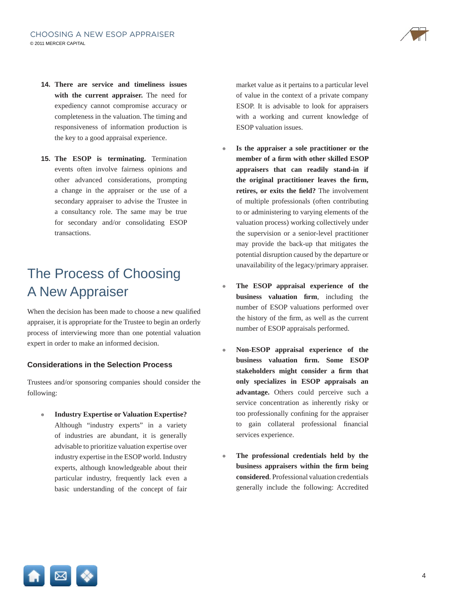

- **14. There are service and timeliness issues with the current appraiser.** The need for expediency cannot compromise accuracy or completeness in the valuation. The timing and responsiveness of information production is the key to a good appraisal experience.
- **15. The ESOP is terminating.** Termination events often involve fairness opinions and other advanced considerations, prompting a change in the appraiser or the use of a secondary appraiser to advise the Trustee in a consultancy role. The same may be true for secondary and/or consolidating ESOP transactions.

## The Process of Choosing A New Appraiser

When the decision has been made to choose a new qualified appraiser, it is appropriate for the Trustee to begin an orderly process of interviewing more than one potential valuation expert in order to make an informed decision.

#### **Considerations in the Selection Process**

Trustees and/or sponsoring companies should consider the following:

◉ **Industry Expertise or Valuation Expertise?** Although "industry experts" in a variety of industries are abundant, it is generally advisable to prioritize valuation expertise over industry expertise in the ESOP world. Industry experts, although knowledgeable about their particular industry, frequently lack even a basic understanding of the concept of fair market value as it pertains to a particular level of value in the context of a private company ESOP. It is advisable to look for appraisers with a working and current knowledge of ESOP valuation issues.

- ◉ **Is the appraiser a sole practitioner or the**  member of a firm with other skilled ESOP **appraisers that can readily stand-in if**  the original practitioner leaves the firm, retires, or exits the field? The involvement of multiple professionals (often contributing to or administering to varying elements of the valuation process) working collectively under the supervision or a senior-level practitioner may provide the back-up that mitigates the potential disruption caused by the departure or unavailability of the legacy/primary appraiser.
- ◉ **The ESOP appraisal experience of the business valuation** firm, including the number of ESOP valuations performed over the history of the firm, as well as the current number of ESOP appraisals performed.
- ◉ **Non-ESOP appraisal experience of the business** valuation firm. Some ESOP stakeholders might consider a firm that **only specializes in ESOP appraisals an advantage.** Others could perceive such a service concentration as inherently risky or too professionally confining for the appraiser to gain collateral professional financial services experience.
- ◉ **The professional credentials held by the business appraisers within the firm being considered**. Professional valuation credentials generally include the following: Accredited

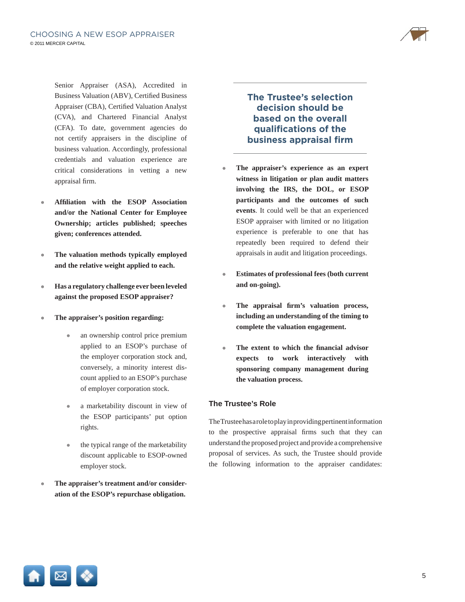

Senior Appraiser (ASA), Accredited in Business Valuation (ABV), Certified Business Appraiser (CBA), Certified Valuation Analyst (CVA), and Chartered Financial Analyst (CFA). To date, government agencies do not certify appraisers in the discipline of business valuation. Accordingly, professional credentials and valuation experience are critical considerations in vetting a new appraisal firm.

- **Affiliation with the ESOP Association and/or the National Center for Employee Ownership; articles published; speeches given; conferences attended.**
- ◉ **The valuation methods typically employed and the relative weight applied to each.**
- ◉ **Has a regulatory challenge ever been leveled against the proposed ESOP appraiser?**
- ◉ **The appraiser's position regarding:**
	- an ownership control price premium applied to an ESOP's purchase of the employer corporation stock and, conversely, a minority interest discount applied to an ESOP's purchase of employer corporation stock.
	- a marketability discount in view of the ESOP participants' put option rights.
	- the typical range of the marketability discount applicable to ESOP-owned employer stock.
- ◉ **The appraiser's treatment and/or consideration of the ESOP's repurchase obligation.**

**The Trustee's selection decision should be based on the overall qualifi cations of the business appraisal firm** 

- ◉ **The appraiser's experience as an expert witness in litigation or plan audit matters involving the IRS, the DOL, or ESOP participants and the outcomes of such events**. It could well be that an experienced ESOP appraiser with limited or no litigation experience is preferable to one that has repeatedly been required to defend their appraisals in audit and litigation proceedings.
- ◉ **Estimates of professional fees (both current and on-going).**
- ◉ **The appraisal fi rm's valuation process, including an understanding of the timing to complete the valuation engagement.**
- The extent to which the financial advisor **expects to work interactively with sponsoring company management during the valuation process.**

#### **The Trustee's Role**

The Trustee has a role to play in providing pertinent information to the prospective appraisal firms such that they can understand the proposed project and provide a comprehensive proposal of services. As such, the Trustee should provide the following information to the appraiser candidates:

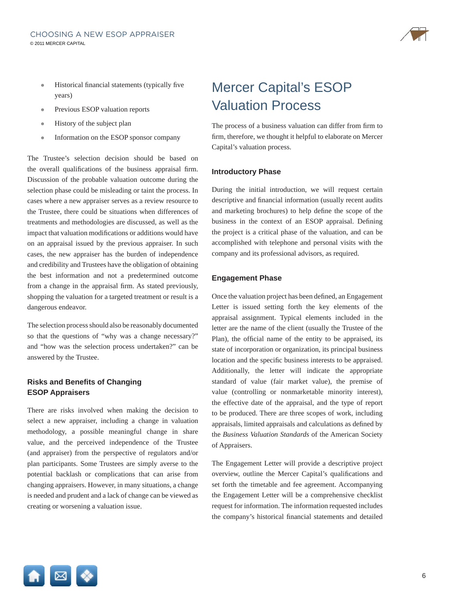

- Historical financial statements (typically five years)
- ◉ Previous ESOP valuation reports
- ◉ History of the subject plan
- ◉ Information on the ESOP sponsor company

The Trustee's selection decision should be based on the overall qualifications of the business appraisal firm. Discussion of the probable valuation outcome during the selection phase could be misleading or taint the process. In cases where a new appraiser serves as a review resource to the Trustee, there could be situations when differences of treatments and methodologies are discussed, as well as the impact that valuation modifications or additions would have on an appraisal issued by the previous appraiser. In such cases, the new appraiser has the burden of independence and credibility and Trustees have the obligation of obtaining the best information and not a predetermined outcome from a change in the appraisal firm. As stated previously, shopping the valuation for a targeted treatment or result is a dangerous endeavor.

The selection process should also be reasonably documented so that the questions of "why was a change necessary?" and "how was the selection process undertaken?" can be answered by the Trustee.

#### **Risks and Benefits of Changing ESOP Appraisers**

There are risks involved when making the decision to select a new appraiser, including a change in valuation methodology, a possible meaningful change in share value, and the perceived independence of the Trustee (and appraiser) from the perspective of regulators and/or plan participants. Some Trustees are simply averse to the potential backlash or complications that can arise from changing appraisers. However, in many situations, a change is needed and prudent and a lack of change can be viewed as creating or worsening a valuation issue.

## Mercer Capital's ESOP Valuation Process

The process of a business valuation can differ from firm to firm, therefore, we thought it helpful to elaborate on Mercer Capital's valuation process.

#### **Introductory Phase**

During the initial introduction, we will request certain descriptive and financial information (usually recent audits and marketing brochures) to help define the scope of the business in the context of an ESOP appraisal. Defining the project is a critical phase of the valuation, and can be accomplished with telephone and personal visits with the company and its professional advisors, as required.

#### **Engagement Phase**

Once the valuation project has been defined, an Engagement Letter is issued setting forth the key elements of the appraisal assignment. Typical elements included in the letter are the name of the client (usually the Trustee of the Plan), the official name of the entity to be appraised, its state of incorporation or organization, its principal business location and the specific business interests to be appraised. Additionally, the letter will indicate the appropriate standard of value (fair market value), the premise of value (controlling or nonmarketable minority interest), the effective date of the appraisal, and the type of report to be produced. There are three scopes of work, including appraisals, limited appraisals and calculations as defined by the *Business Valuation Standards* of the American Society of Appraisers.

The Engagement Letter will provide a descriptive project overview, outline the Mercer Capital's qualifications and set forth the timetable and fee agreement. Accompanying the Engagement Letter will be a comprehensive checklist request for information. The information requested includes the company's historical financial statements and detailed

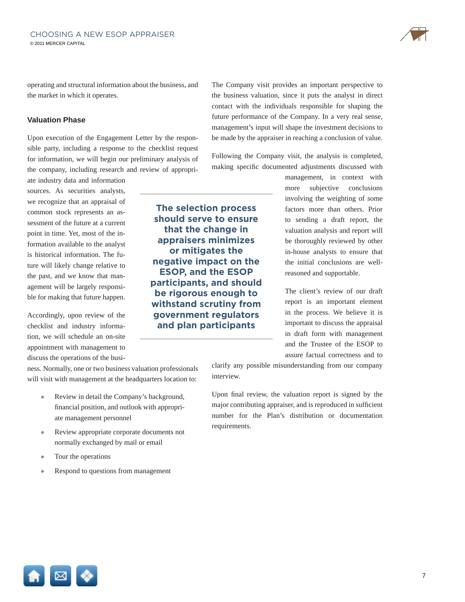operating and structural information about the business, and the market in which it operates.

#### **Valuation Phase**

Upon execution of the Engagement Letter by the responsible party, including a response to the checklist request for information, we will begin our preliminary analysis of the company, including research and review of appropri-

ate industry data and information sources. As securities analysts, we recognize that an appraisal of common stock represents an assessment of the future at a current point in time. Yet, most of the information available to the analyst is historical information. The future will likely change relative to the past, and we know that management will be largely responsible for making that future happen.

Accordingly, upon review of the checklist and industry information, we will schedule an on-site appointment with management to

discuss the operations of the business. Normally, one or two business valuation professionals will visit with management at the headquarters location to:

- Review in detail the Company's background, financial position, and outlook with appropriate management personnel
- ◉ Review appropriate corporate documents not normally exchanged by mail or email
- Tour the operations
- Respond to questions from management

The Company visit provides an important perspective to the business valuation, since it puts the analyst in direct contact with the individuals responsible for shaping the future performance of the Company. In a very real sense, management's input will shape the investment decisions to be made by the appraiser in reaching a conclusion of value.

Following the Company visit, the analysis is completed, making specific documented adjustments discussed with

**The selection process should serve to ensure that the change in appraisers minimizes or mitigates the negative impact on the ESOP, and the ESOP participants, and should be rigorous enough to withstand scrutiny from government regulators and plan participants**

management, in context with more subjective conclusions involving the weighting of some factors more than others. Prior to sending a draft report, the valuation analysis and report will be thoroughly reviewed by other in-house analysts to ensure that the initial conclusions are wellreasoned and supportable.

The client's review of our draft report is an important element in the process. We believe it is important to discuss the appraisal in draft form with management and the Trustee of the ESOP to assure factual correctness and to

clarify any possible misunderstanding from our company interview.

Upon final review, the valuation report is signed by the major contributing appraiser, and is reproduced in sufficient number for the Plan's distribution or documentation requirements.

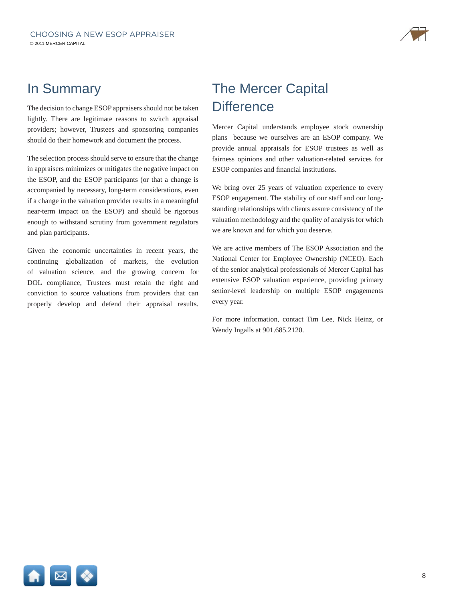

### In Summary

The decision to change ESOP appraisers should not be taken lightly. There are legitimate reasons to switch appraisal providers; however, Trustees and sponsoring companies should do their homework and document the process.

The selection process should serve to ensure that the change in appraisers minimizes or mitigates the negative impact on the ESOP, and the ESOP participants (or that a change is accompanied by necessary, long-term considerations, even if a change in the valuation provider results in a meaningful near-term impact on the ESOP) and should be rigorous enough to withstand scrutiny from government regulators and plan participants.

Given the economic uncertainties in recent years, the continuing globalization of markets, the evolution of valuation science, and the growing concern for DOL compliance, Trustees must retain the right and conviction to source valuations from providers that can properly develop and defend their appraisal results.

## The Mercer Capital **Difference**

Mercer Capital understands employee stock ownership plans because we ourselves are an ESOP company. We provide annual appraisals for ESOP trustees as well as fairness opinions and other valuation-related services for ESOP companies and financial institutions.

We bring over 25 years of valuation experience to every ESOP engagement. The stability of our staff and our longstanding relationships with clients assure consistency of the valuation methodology and the quality of analysis for which we are known and for which you deserve.

We are active members of The ESOP Association and the National Center for Employee Ownership (NCEO). Each of the senior analytical professionals of Mercer Capital has extensive ESOP valuation experience, providing primary senior-level leadership on multiple ESOP engagements every year.

For more information, contact Tim Lee, Nick Heinz, or Wendy Ingalls at 901.685.2120.

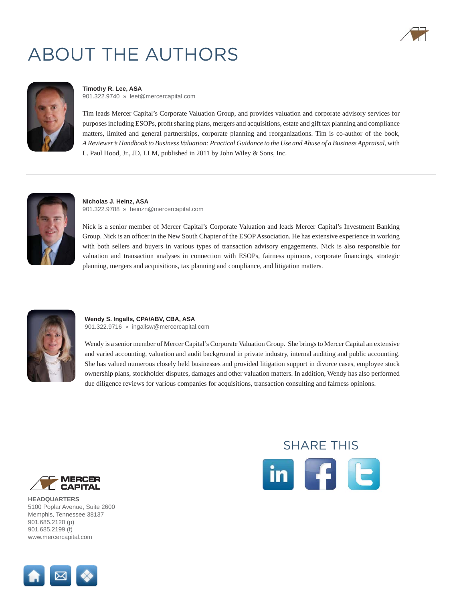## ABOUT THE AUTHORS





#### **[Timothy R. Lee, ASA](http://www.mercercapital.com/index.cfm?action=page&id=258)** 901.322.9740 » [leet@mercercapital.com](mailto:leet@mercercapital.com)

Tim leads Mercer Capital's Corporate Valuation Group, and provides valuation and corporate advisory services for purposes including ESOPs, profit sharing plans, mergers and acquisitions, estate and gift tax planning and compliance matters, limited and general partnerships, corporate planning and reorganizations. Tim is co-author of the book, *A Reviewer's Handbook to Business Valuation: Practical Guidance to the Use and Abuse of a Business Appraisal*, with L. Paul Hood, Jr., JD, LLM, published in 2011 by John Wiley & Sons, Inc.



**[Nicholas J. Heinz, ASA](http://www.mercercapital.com/index.cfm?action=page&id=255)** 901.322.9788 » [heinzn@mercercapital.com](mailto:heinzn@mercercapital.com)

Nick is a senior member of Mercer Capital's Corporate Valuation and leads Mercer Capital's Investment Banking Group. Nick is an officer in the New South Chapter of the ESOP Association. He has extensive experience in working with both sellers and buyers in various types of transaction advisory engagements. Nick is also responsible for valuation and transaction analyses in connection with ESOPs, fairness opinions, corporate financings, strategic planning, mergers and acquisitions, tax planning and compliance, and litigation matters.



#### **[Wendy S. Ingalls, CPA/ABV, CBA, ASA](http://www.mercercapital.com/index.cfm?action=page&id=263)** 901.322.9716 » [ingallsw@mercercapital.com](mailto:ingallsw@mercercapital.com)

Wendy is a senior member of Mercer Capital's Corporate Valuation Group. She brings to Mercer Capital an extensive and varied accounting, valuation and audit background in private industry, internal auditing and public accounting. She has valued numerous closely held businesses and provided litigation support in divorce cases, employee stock ownership plans, stockholder disputes, damages and other valuation matters. In addition, Wendy has also performed due diligence reviews for various companies for acquisitions, transaction consulting and fairness opinions.



**HEADQUARTERS** [5100 Poplar Avenue, Suite 2600](www.mercercapital.com) Memphis, Tennessee 38137 901.685.2120 (p) 901.685.2199 (f) www.mercercapital.com